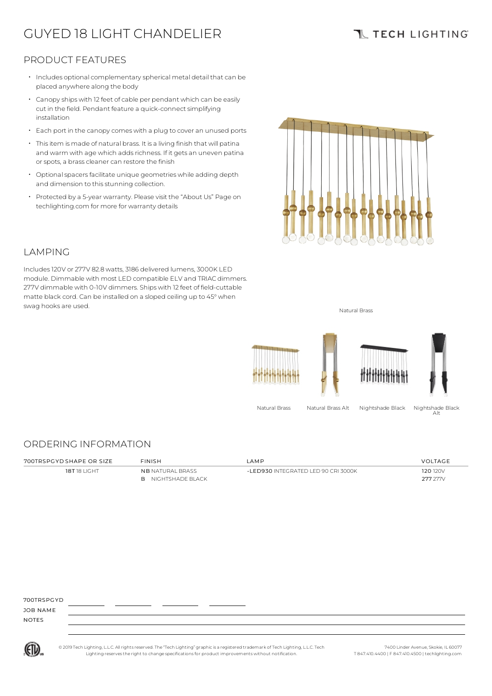# GUYED 18 LIGHT CHANDELIER

### **TL TECH LIGHTING**

### PRODUCT FEATURES

- Includes optional complementary spherical metal detail that can be placed anywhere along the body
- $\cdot$  Canopy ships with 12 feet of cable per pendant which can be easily cut in the field. Pendant feature a quick-connect simplifying installation
- Each port in the canopy comes with a plug to cover an unused ports
- Thisitem is made of natural brass. It is a living finish that will patina and warm with age which adds richness. If it gets an uneven patina or spots, a brass cleaner can restore the finish •
- $\cdot$  Optional spacers facilitate unique geometries while adding depth and dimension to this stunning collection.
- Protected by a 5-year warranty. Please visit the "About Us" Page on techlighting.com for more for warranty details



#### LAMPING

Includes120V or 277V 82.8 watts, 3186 delivered lumens, 3000K LED module. Dimmable with most LED compatible ELV and TRIAC dimmers. 277V dimmable with 0-10V dimmers. Ships with 12 feet of field-cuttable matte black cord. Can be installed on a sloped ceiling up to 45°when swag hooks are used. Natural Brass and the state of the state of the state of the state of the state of the state of the state of the state of the state of the state of the state of the state of the state of the state of t



Natural Brass Natural Brass Alt Nightshade Black Nightshade Black

Alt

### ORDERING INFORMATION

700TRSPGYD SHAPE OR SIZE FINISH LAMP VOLTAGE 18T 18 LIGHT NB NATURAL BRASS B NIGHTSHADE BLACK -LED930 INTEGRATED LED 90 CRI 3000K 120 120 120V 277 277V

700TRSPGYD

JOB NAME NOTES



© 2019 Tech Lighting, L.L.C. All rightsreserved. The "Tech Lighting" graphicis a registered trademark of Tech Lighting, L.L.C. Tech Lighting reservesthe right to change specificationsfor product improvements without notification.

7400 Linder Avenue, Skokie, IL 60077 T 847.410.4400 | F 847.410.4500 | techlighting.com